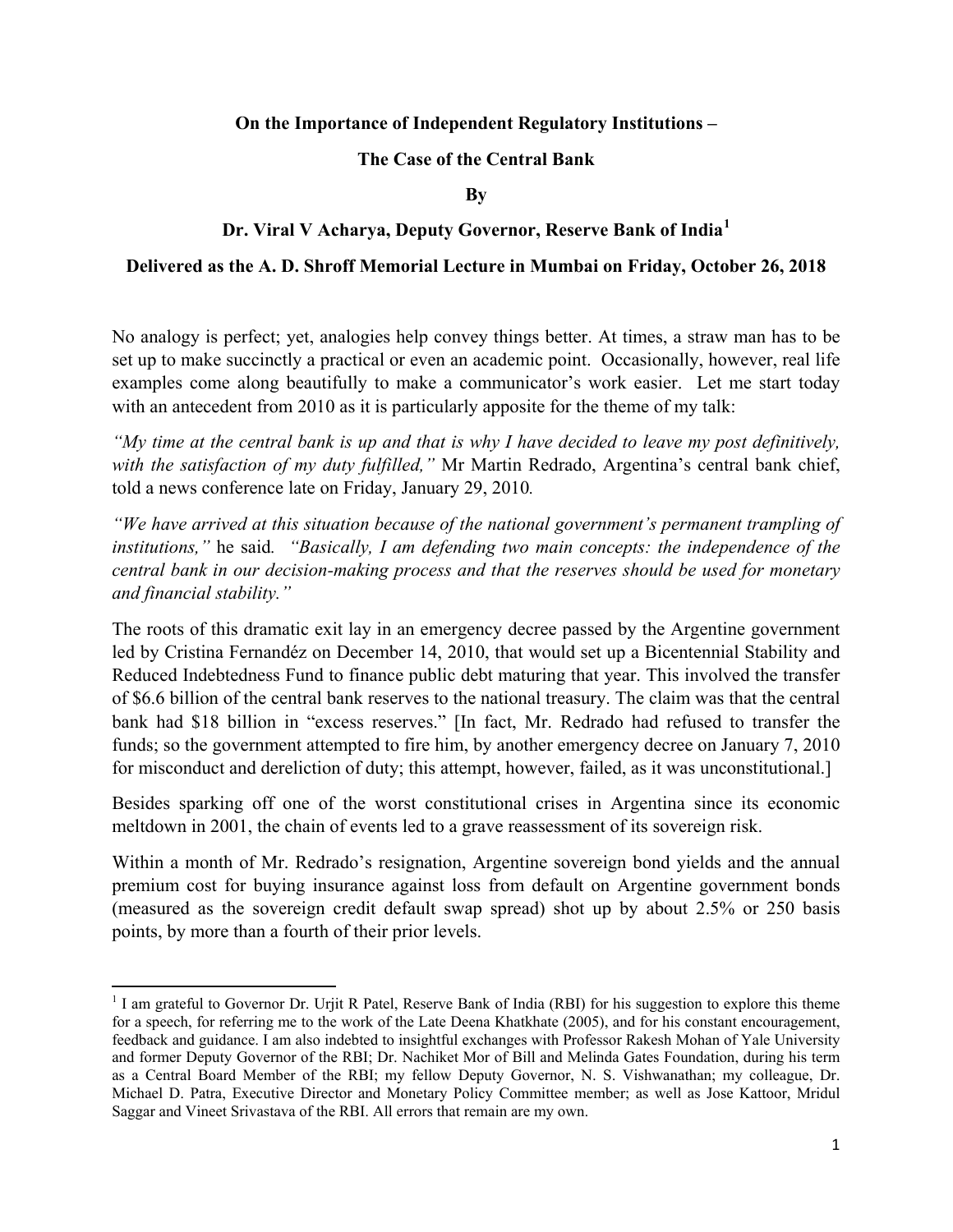## **On the Importance of Independent Regulatory Institutions –**

#### **The Case of the Central Bank**

**By**

## **Dr. Viral V Acharya, Deputy Governor, Reserve Bank of India[1](#page-0-0)**

#### **Delivered as the A. D. Shroff Memorial Lecture in Mumbai on Friday, October 26, 2018**

No analogy is perfect; yet, analogies help convey things better. At times, a straw man has to be set up to make succinctly a practical or even an academic point. Occasionally, however, real life examples come along beautifully to make a communicator's work easier. Let me start today with an antecedent from 2010 as it is particularly apposite for the theme of my talk:

*"My time at the central bank is up and that is why I have decided to leave my post definitively, with the satisfaction of my duty fulfilled,"* Mr Martin Redrado, Argentina's central bank chief, told a news conference late on Friday, January 29, 2010*.*

*"We have arrived at this situation because of the national government's permanent trampling of institutions,"* he said*. "Basically, I am defending two main concepts: the independence of the central bank in our decision-making process and that the reserves should be used for monetary and financial stability."*

The roots of this dramatic exit lay in an emergency decree passed by the Argentine government led by Cristina Fernandéz on December 14, 2010, that would set up a Bicentennial Stability and Reduced Indebtedness Fund to finance public debt maturing that year. This involved the transfer of \$6.6 billion of the central bank reserves to the national treasury. The claim was that the central bank had \$18 billion in "excess reserves." [In fact, Mr. Redrado had refused to transfer the funds; so the government attempted to fire him, by another emergency decree on January 7, 2010 for misconduct and dereliction of duty; this attempt, however, failed, as it was unconstitutional.]

Besides sparking off one of the worst constitutional crises in Argentina since its economic meltdown in 2001, the chain of events led to a grave reassessment of its sovereign risk.

Within a month of Mr. Redrado's resignation, Argentine sovereign bond yields and the annual premium cost for buying insurance against loss from default on Argentine government bonds (measured as the sovereign credit default swap spread) shot up by about 2.5% or 250 basis points, by more than a fourth of their prior levels.

 $\overline{\phantom{a}}$ 

<span id="page-0-0"></span><sup>&</sup>lt;sup>1</sup> I am grateful to Governor Dr. Urjit R Patel, Reserve Bank of India (RBI) for his suggestion to explore this theme for a speech, for referring me to the work of the Late Deena Khatkhate (2005), and for his constant encouragement, feedback and guidance. I am also indebted to insightful exchanges with Professor Rakesh Mohan of Yale University and former Deputy Governor of the RBI; Dr. Nachiket Mor of Bill and Melinda Gates Foundation, during his term as a Central Board Member of the RBI; my fellow Deputy Governor, N. S. Vishwanathan; my colleague, Dr. Michael D. Patra, Executive Director and Monetary Policy Committee member; as well as Jose Kattoor, Mridul Saggar and Vineet Srivastava of the RBI. All errors that remain are my own.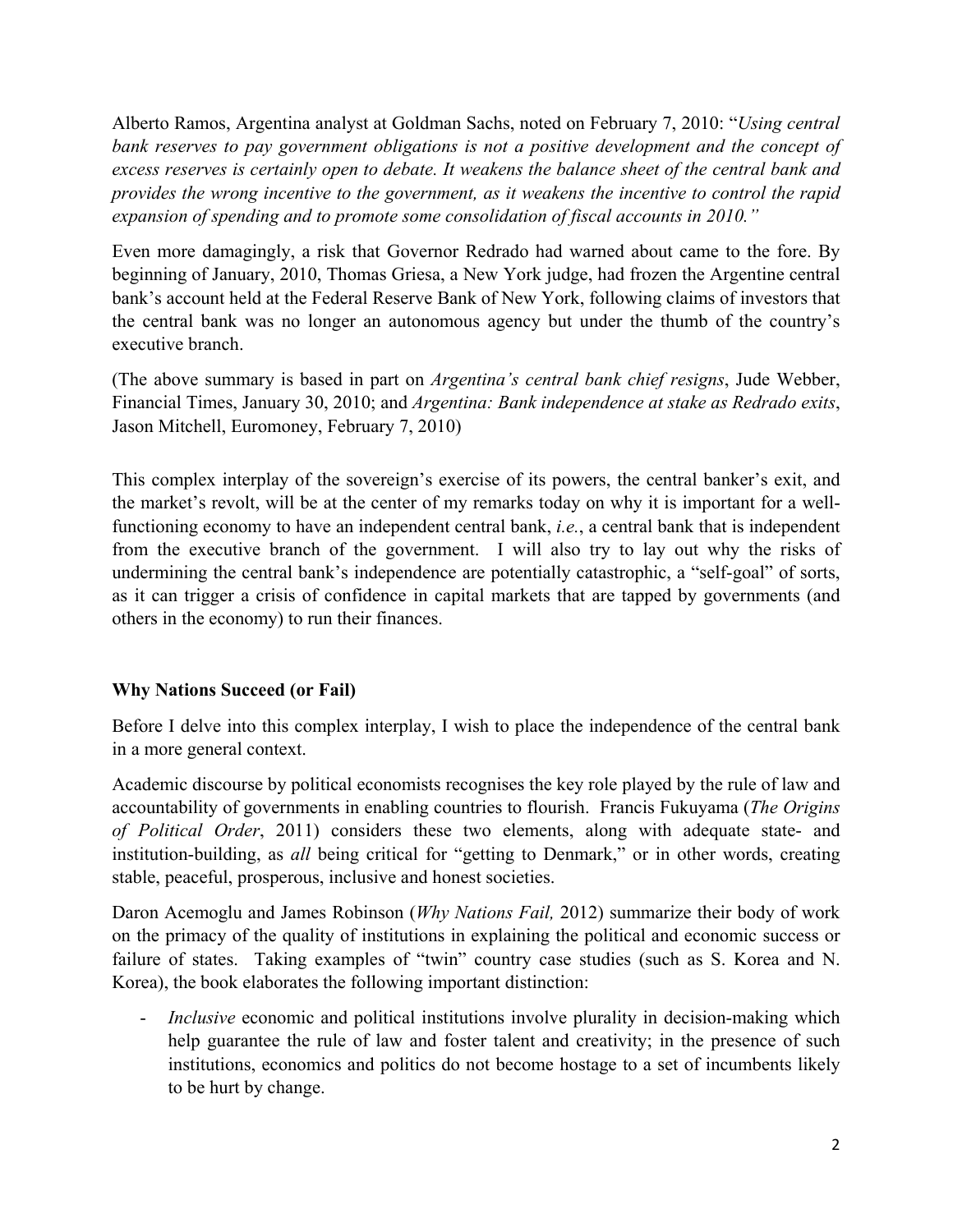Alberto Ramos, Argentina analyst at Goldman Sachs, noted on February 7, 2010: "*Using central bank reserves to pay government obligations is not a positive development and the concept of excess reserves is certainly open to debate. It weakens the balance sheet of the central bank and provides the wrong incentive to the government, as it weakens the incentive to control the rapid expansion of spending and to promote some consolidation of fiscal accounts in 2010."*

Even more damagingly, a risk that Governor Redrado had warned about came to the fore. By beginning of January, 2010, Thomas Griesa, a New York judge, had frozen the Argentine central bank's account held at the Federal Reserve Bank of New York, following claims of investors that the central bank was no longer an autonomous agency but under the thumb of the country's executive branch.

(The above summary is based in part on *Argentina's central bank chief resigns*, Jude Webber, Financial Times, January 30, 2010; and *Argentina: Bank independence at stake as Redrado exits*, Jason Mitchell, Euromoney, February 7, 2010)

This complex interplay of the sovereign's exercise of its powers, the central banker's exit, and the market's revolt, will be at the center of my remarks today on why it is important for a wellfunctioning economy to have an independent central bank, *i.e.*, a central bank that is independent from the executive branch of the government. I will also try to lay out why the risks of undermining the central bank's independence are potentially catastrophic, a "self-goal" of sorts, as it can trigger a crisis of confidence in capital markets that are tapped by governments (and others in the economy) to run their finances.

# **Why Nations Succeed (or Fail)**

Before I delve into this complex interplay, I wish to place the independence of the central bank in a more general context.

Academic discourse by political economists recognises the key role played by the rule of law and accountability of governments in enabling countries to flourish. Francis Fukuyama (*The Origins of Political Order*, 2011) considers these two elements, along with adequate state- and institution-building, as *all* being critical for "getting to Denmark," or in other words, creating stable, peaceful, prosperous, inclusive and honest societies.

Daron Acemoglu and James Robinson (*Why Nations Fail,* 2012) summarize their body of work on the primacy of the quality of institutions in explaining the political and economic success or failure of states. Taking examples of "twin" country case studies (such as S. Korea and N. Korea), the book elaborates the following important distinction:

- *Inclusive* economic and political institutions involve plurality in decision-making which help guarantee the rule of law and foster talent and creativity; in the presence of such institutions, economics and politics do not become hostage to a set of incumbents likely to be hurt by change.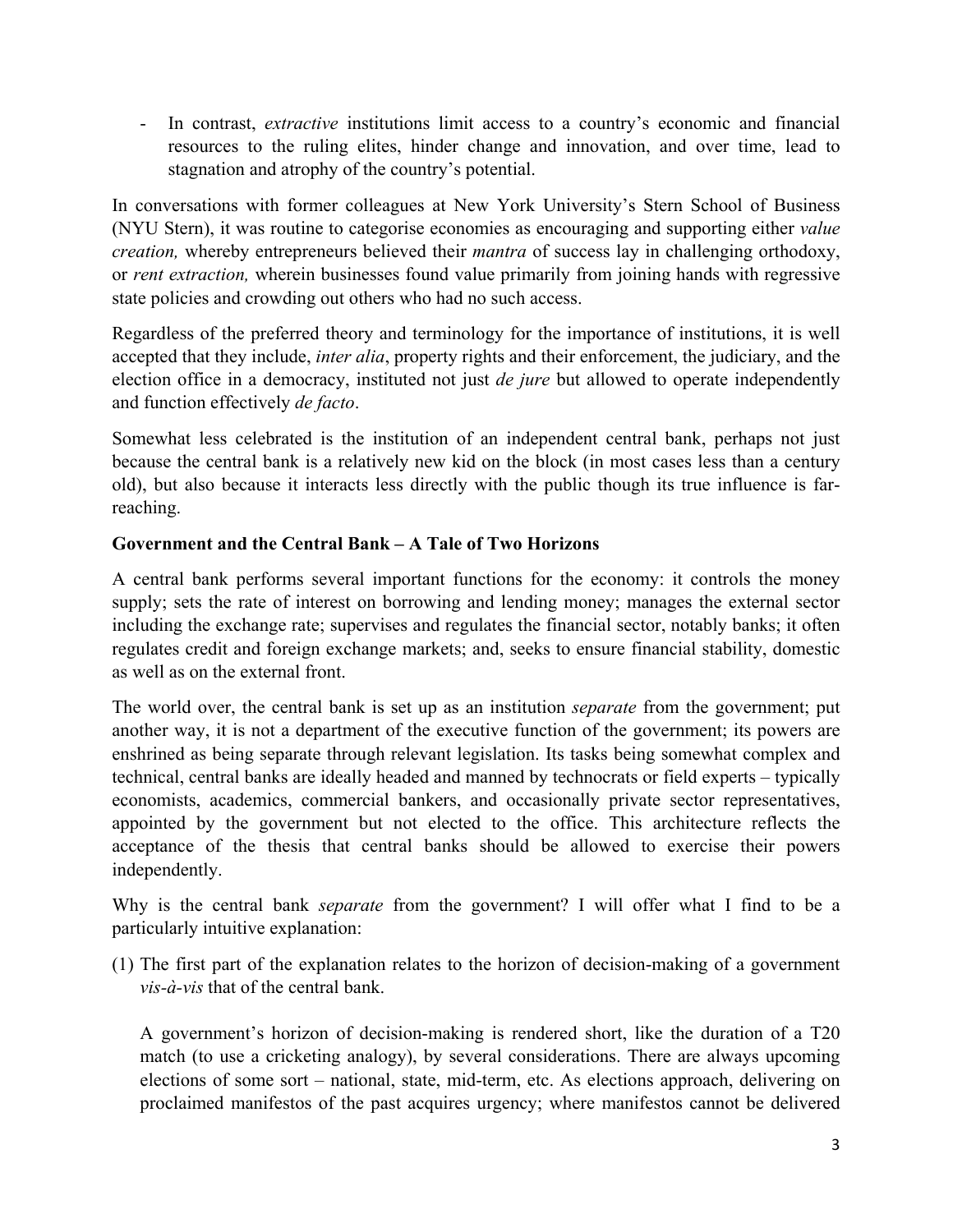- In contrast, *extractive* institutions limit access to a country's economic and financial resources to the ruling elites, hinder change and innovation, and over time, lead to stagnation and atrophy of the country's potential.

In conversations with former colleagues at New York University's Stern School of Business (NYU Stern), it was routine to categorise economies as encouraging and supporting either *value creation,* whereby entrepreneurs believed their *mantra* of success lay in challenging orthodoxy, or *rent extraction,* wherein businesses found value primarily from joining hands with regressive state policies and crowding out others who had no such access.

Regardless of the preferred theory and terminology for the importance of institutions, it is well accepted that they include, *inter alia*, property rights and their enforcement, the judiciary, and the election office in a democracy, instituted not just *de jure* but allowed to operate independently and function effectively *de facto*.

Somewhat less celebrated is the institution of an independent central bank, perhaps not just because the central bank is a relatively new kid on the block (in most cases less than a century old), but also because it interacts less directly with the public though its true influence is farreaching.

## **Government and the Central Bank – A Tale of Two Horizons**

A central bank performs several important functions for the economy: it controls the money supply; sets the rate of interest on borrowing and lending money; manages the external sector including the exchange rate; supervises and regulates the financial sector, notably banks; it often regulates credit and foreign exchange markets; and, seeks to ensure financial stability, domestic as well as on the external front.

The world over, the central bank is set up as an institution *separate* from the government; put another way, it is not a department of the executive function of the government; its powers are enshrined as being separate through relevant legislation. Its tasks being somewhat complex and technical, central banks are ideally headed and manned by technocrats or field experts – typically economists, academics, commercial bankers, and occasionally private sector representatives, appointed by the government but not elected to the office. This architecture reflects the acceptance of the thesis that central banks should be allowed to exercise their powers independently.

Why is the central bank *separate* from the government? I will offer what I find to be a particularly intuitive explanation:

(1) The first part of the explanation relates to the horizon of decision-making of a government *vis-à-vis* that of the central bank.

A government's horizon of decision-making is rendered short, like the duration of a T20 match (to use a cricketing analogy), by several considerations. There are always upcoming elections of some sort – national, state, mid-term, etc. As elections approach, delivering on proclaimed manifestos of the past acquires urgency; where manifestos cannot be delivered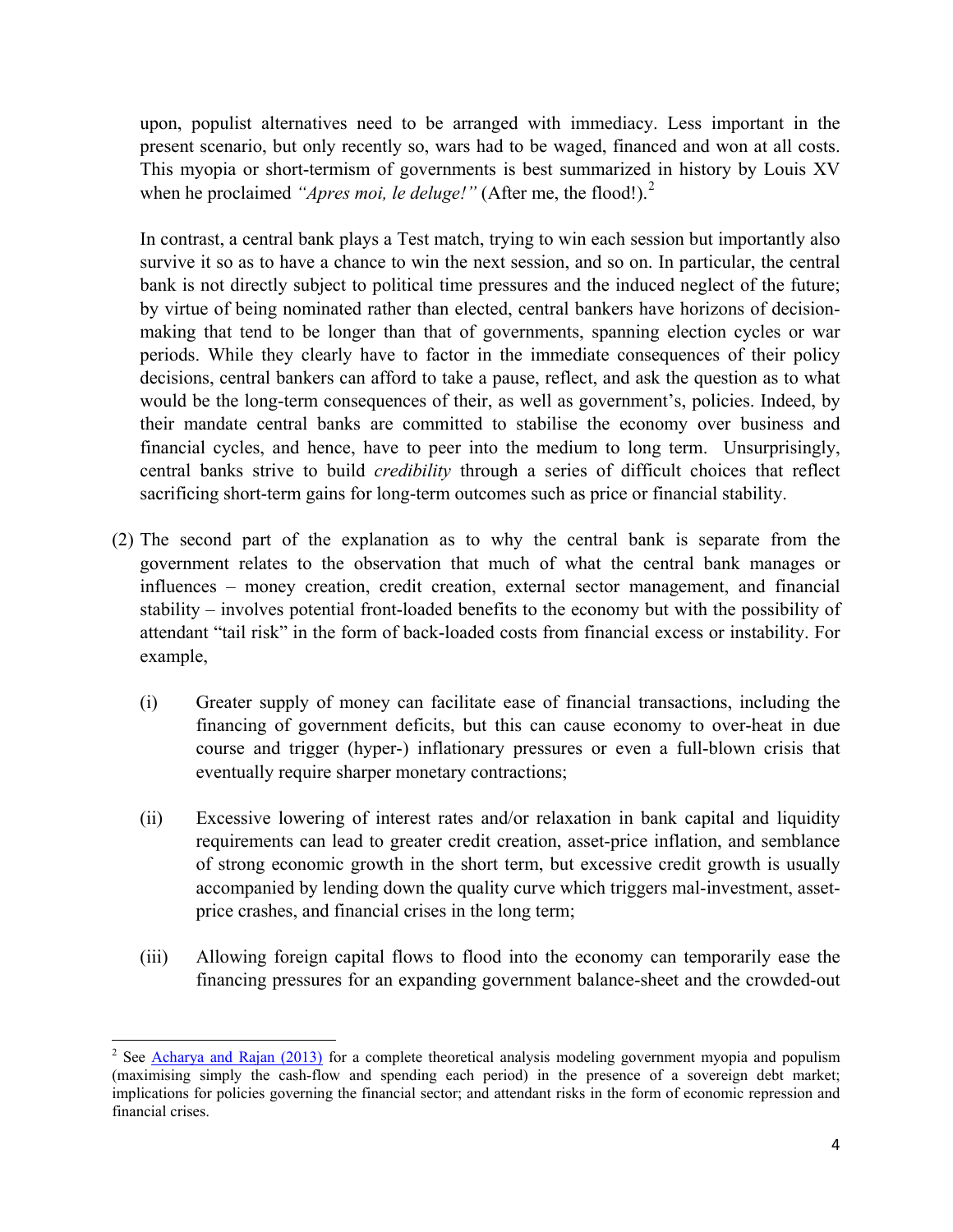upon, populist alternatives need to be arranged with immediacy. Less important in the present scenario, but only recently so, wars had to be waged, financed and won at all costs. This myopia or short-termism of governments is best summarized in history by Louis XV when he proclaimed *"Apres moi, le deluge!"* (After me, the flood!).<sup>[2](#page-3-0)</sup>

In contrast, a central bank plays a Test match, trying to win each session but importantly also survive it so as to have a chance to win the next session, and so on. In particular, the central bank is not directly subject to political time pressures and the induced neglect of the future; by virtue of being nominated rather than elected, central bankers have horizons of decisionmaking that tend to be longer than that of governments, spanning election cycles or war periods. While they clearly have to factor in the immediate consequences of their policy decisions, central bankers can afford to take a pause, reflect, and ask the question as to what would be the long-term consequences of their, as well as government's, policies. Indeed, by their mandate central banks are committed to stabilise the economy over business and financial cycles, and hence, have to peer into the medium to long term. Unsurprisingly, central banks strive to build *credibility* through a series of difficult choices that reflect sacrificing short-term gains for long-term outcomes such as price or financial stability.

- (2) The second part of the explanation as to why the central bank is separate from the government relates to the observation that much of what the central bank manages or influences – money creation, credit creation, external sector management, and financial stability – involves potential front-loaded benefits to the economy but with the possibility of attendant "tail risk" in the form of back-loaded costs from financial excess or instability. For example,
	- (i) Greater supply of money can facilitate ease of financial transactions, including the financing of government deficits, but this can cause economy to over-heat in due course and trigger (hyper-) inflationary pressures or even a full-blown crisis that eventually require sharper monetary contractions;
	- (ii) Excessive lowering of interest rates and/or relaxation in bank capital and liquidity requirements can lead to greater credit creation, asset-price inflation, and semblance of strong economic growth in the short term, but excessive credit growth is usually accompanied by lending down the quality curve which triggers mal-investment, assetprice crashes, and financial crises in the long term;
	- (iii) Allowing foreign capital flows to flood into the economy can temporarily ease the financing pressures for an expanding government balance-sheet and the crowded-out

 $\overline{\phantom{a}}$ 

<span id="page-3-0"></span><sup>&</sup>lt;sup>2</sup> See [Acharya and Rajan \(2013\)](http://pages.stern.nyu.edu/%7Esternfin/vacharya/public_html/Sov_debt_Jan_11_2013_RFS_standard.pdf) for a complete theoretical analysis modeling government myopia and populism (maximising simply the cash-flow and spending each period) in the presence of a sovereign debt market; implications for policies governing the financial sector; and attendant risks in the form of economic repression and financial crises.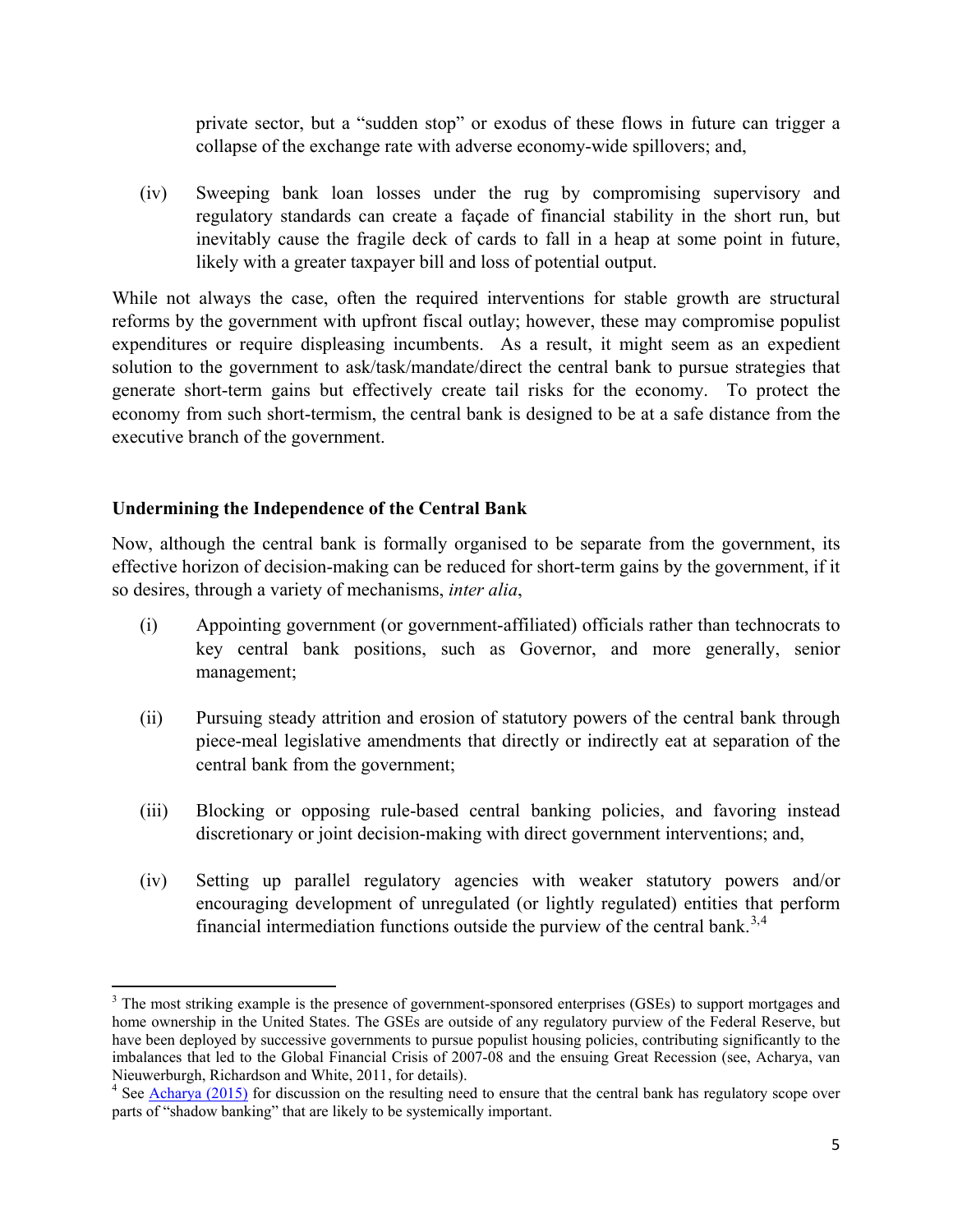private sector, but a "sudden stop" or exodus of these flows in future can trigger a collapse of the exchange rate with adverse economy-wide spillovers; and,

(iv) Sweeping bank loan losses under the rug by compromising supervisory and regulatory standards can create a façade of financial stability in the short run, but inevitably cause the fragile deck of cards to fall in a heap at some point in future, likely with a greater taxpayer bill and loss of potential output.

While not always the case, often the required interventions for stable growth are structural reforms by the government with upfront fiscal outlay; however, these may compromise populist expenditures or require displeasing incumbents. As a result, it might seem as an expedient solution to the government to ask/task/mandate/direct the central bank to pursue strategies that generate short-term gains but effectively create tail risks for the economy. To protect the economy from such short-termism, the central bank is designed to be at a safe distance from the executive branch of the government.

## **Undermining the Independence of the Central Bank**

 $\overline{\phantom{a}}$ 

Now, although the central bank is formally organised to be separate from the government, its effective horizon of decision-making can be reduced for short-term gains by the government, if it so desires, through a variety of mechanisms, *inter alia*,

- (i) Appointing government (or government-affiliated) officials rather than technocrats to key central bank positions, such as Governor, and more generally, senior management;
- (ii) Pursuing steady attrition and erosion of statutory powers of the central bank through piece-meal legislative amendments that directly or indirectly eat at separation of the central bank from the government;
- (iii) Blocking or opposing rule-based central banking policies, and favoring instead discretionary or joint decision-making with direct government interventions; and,
- (iv) Setting up parallel regulatory agencies with weaker statutory powers and/or encouraging development of unregulated (or lightly regulated) entities that perform financial intermediation functions outside the purview of the central bank.<sup>[3](#page-4-0),[4](#page-4-1)</sup>

<span id="page-4-0"></span><sup>&</sup>lt;sup>3</sup> The most striking example is the presence of government-sponsored enterprises (GSEs) to support mortgages and home ownership in the United States. The GSEs are outside of any regulatory purview of the Federal Reserve, but have been deployed by successive governments to pursue populist housing policies, contributing significantly to the imbalances that led to the Global Financial Crisis of 2007-08 and the ensuing Great Recession (see, Acharya, van<br>Nieuwerburgh, Richardson and White, 2011, for details).

<span id="page-4-1"></span><sup>&</sup>lt;sup>4</sup> See [Acharya \(2015\)](http://www.brookings.edu/research/papers/2015/04/14-financial-stability-mandate-central-banks) for discussion on the resulting need to ensure that the central bank has regulatory scope over parts of "shadow banking" that are likely to be systemically important.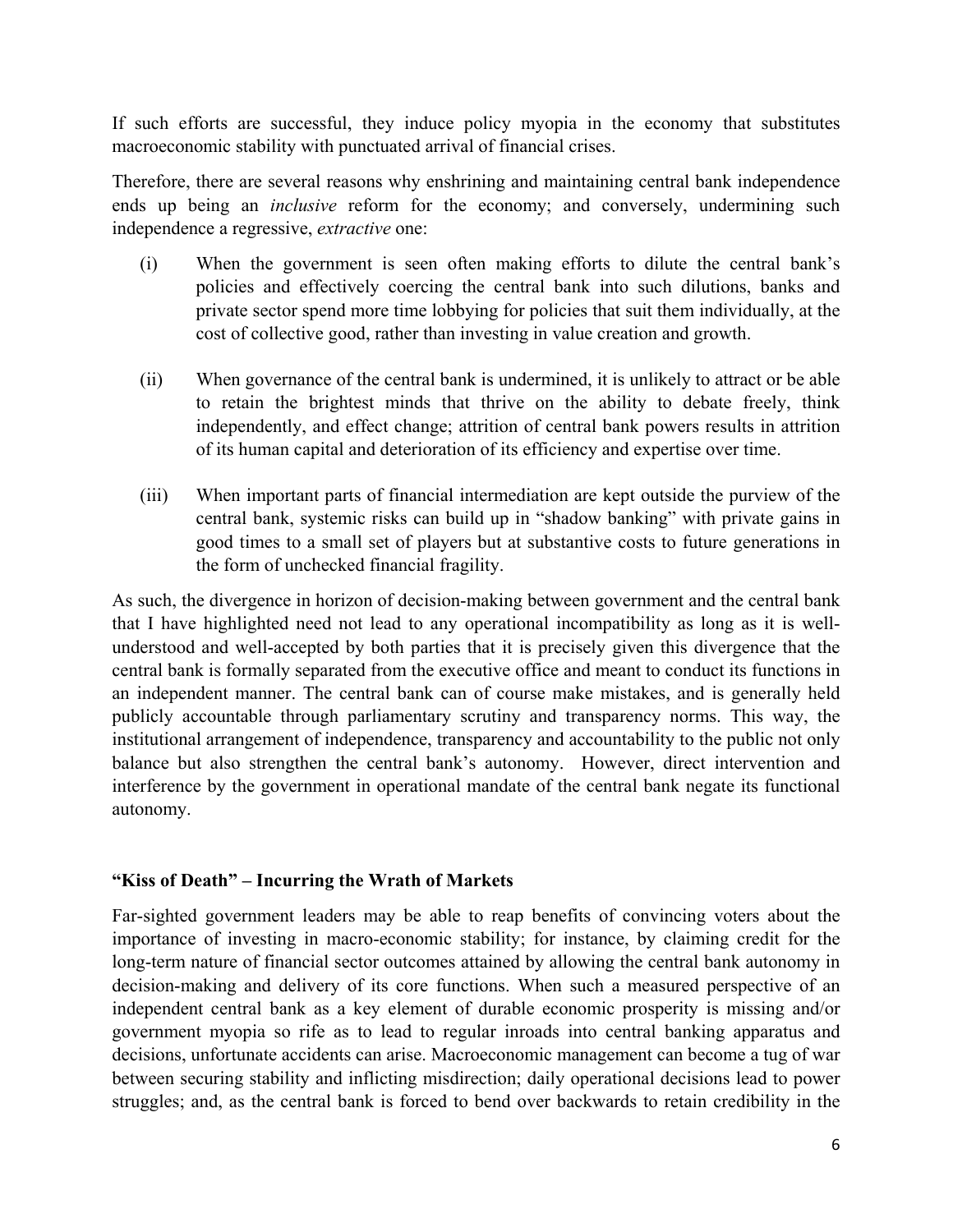If such efforts are successful, they induce policy myopia in the economy that substitutes macroeconomic stability with punctuated arrival of financial crises.

Therefore, there are several reasons why enshrining and maintaining central bank independence ends up being an *inclusive* reform for the economy; and conversely, undermining such independence a regressive, *extractive* one:

- (i) When the government is seen often making efforts to dilute the central bank's policies and effectively coercing the central bank into such dilutions, banks and private sector spend more time lobbying for policies that suit them individually, at the cost of collective good, rather than investing in value creation and growth.
- (ii) When governance of the central bank is undermined, it is unlikely to attract or be able to retain the brightest minds that thrive on the ability to debate freely, think independently, and effect change; attrition of central bank powers results in attrition of its human capital and deterioration of its efficiency and expertise over time.
- (iii) When important parts of financial intermediation are kept outside the purview of the central bank, systemic risks can build up in "shadow banking" with private gains in good times to a small set of players but at substantive costs to future generations in the form of unchecked financial fragility.

As such, the divergence in horizon of decision-making between government and the central bank that I have highlighted need not lead to any operational incompatibility as long as it is wellunderstood and well-accepted by both parties that it is precisely given this divergence that the central bank is formally separated from the executive office and meant to conduct its functions in an independent manner. The central bank can of course make mistakes, and is generally held publicly accountable through parliamentary scrutiny and transparency norms. This way, the institutional arrangement of independence, transparency and accountability to the public not only balance but also strengthen the central bank's autonomy. However, direct intervention and interference by the government in operational mandate of the central bank negate its functional autonomy.

## **"Kiss of Death" – Incurring the Wrath of Markets**

Far-sighted government leaders may be able to reap benefits of convincing voters about the importance of investing in macro-economic stability; for instance, by claiming credit for the long-term nature of financial sector outcomes attained by allowing the central bank autonomy in decision-making and delivery of its core functions. When such a measured perspective of an independent central bank as a key element of durable economic prosperity is missing and/or government myopia so rife as to lead to regular inroads into central banking apparatus and decisions, unfortunate accidents can arise. Macroeconomic management can become a tug of war between securing stability and inflicting misdirection; daily operational decisions lead to power struggles; and, as the central bank is forced to bend over backwards to retain credibility in the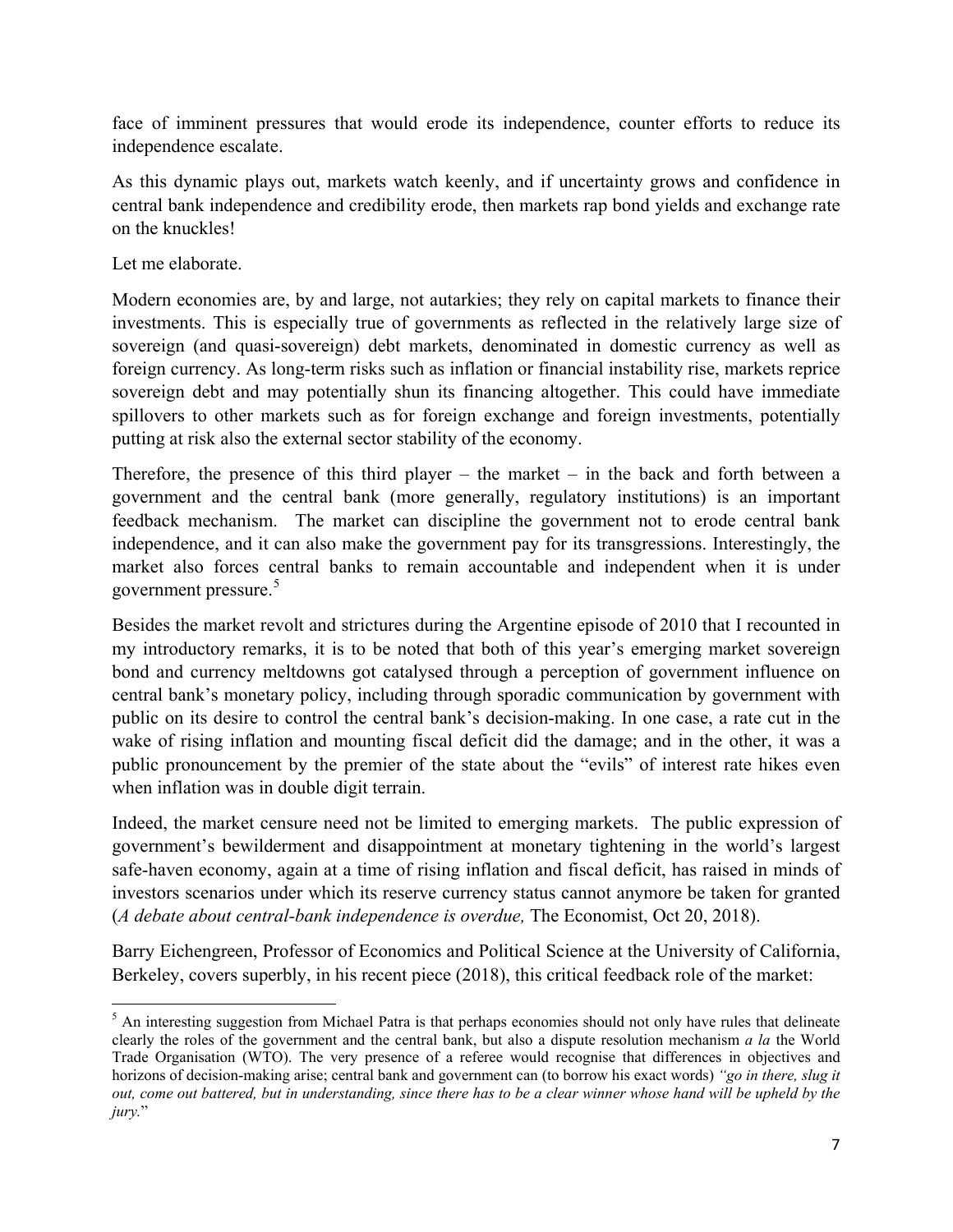face of imminent pressures that would erode its independence, counter efforts to reduce its independence escalate.

As this dynamic plays out, markets watch keenly, and if uncertainty grows and confidence in central bank independence and credibility erode, then markets rap bond yields and exchange rate on the knuckles!

Let me elaborate.

l

Modern economies are, by and large, not autarkies; they rely on capital markets to finance their investments. This is especially true of governments as reflected in the relatively large size of sovereign (and quasi-sovereign) debt markets, denominated in domestic currency as well as foreign currency. As long-term risks such as inflation or financial instability rise, markets reprice sovereign debt and may potentially shun its financing altogether. This could have immediate spillovers to other markets such as for foreign exchange and foreign investments, potentially putting at risk also the external sector stability of the economy.

Therefore, the presence of this third player – the market – in the back and forth between a government and the central bank (more generally, regulatory institutions) is an important feedback mechanism. The market can discipline the government not to erode central bank independence, and it can also make the government pay for its transgressions. Interestingly, the market also forces central banks to remain accountable and independent when it is under government pressure. [5](#page-6-0)

Besides the market revolt and strictures during the Argentine episode of 2010 that I recounted in my introductory remarks, it is to be noted that both of this year's emerging market sovereign bond and currency meltdowns got catalysed through a perception of government influence on central bank's monetary policy, including through sporadic communication by government with public on its desire to control the central bank's decision-making. In one case, a rate cut in the wake of rising inflation and mounting fiscal deficit did the damage; and in the other, it was a public pronouncement by the premier of the state about the "evils" of interest rate hikes even when inflation was in double digit terrain.

Indeed, the market censure need not be limited to emerging markets. The public expression of government's bewilderment and disappointment at monetary tightening in the world's largest safe-haven economy, again at a time of rising inflation and fiscal deficit, has raised in minds of investors scenarios under which its reserve currency status cannot anymore be taken for granted (*A debate about central-bank independence is overdue,* The Economist, Oct 20, 2018).

Barry Eichengreen, Professor of Economics and Political Science at the University of California, Berkeley, covers superbly, in his recent piece (2018), this critical feedback role of the market:

<span id="page-6-0"></span><sup>&</sup>lt;sup>5</sup> An interesting suggestion from Michael Patra is that perhaps economies should not only have rules that delineate clearly the roles of the government and the central bank, but also a dispute resolution mechanism *a la* the World Trade Organisation (WTO). The very presence of a referee would recognise that differences in objectives and horizons of decision-making arise; central bank and government can (to borrow his exact words) *"go in there, slug it out, come out battered, but in understanding, since there has to be a clear winner whose hand will be upheld by the jury.*"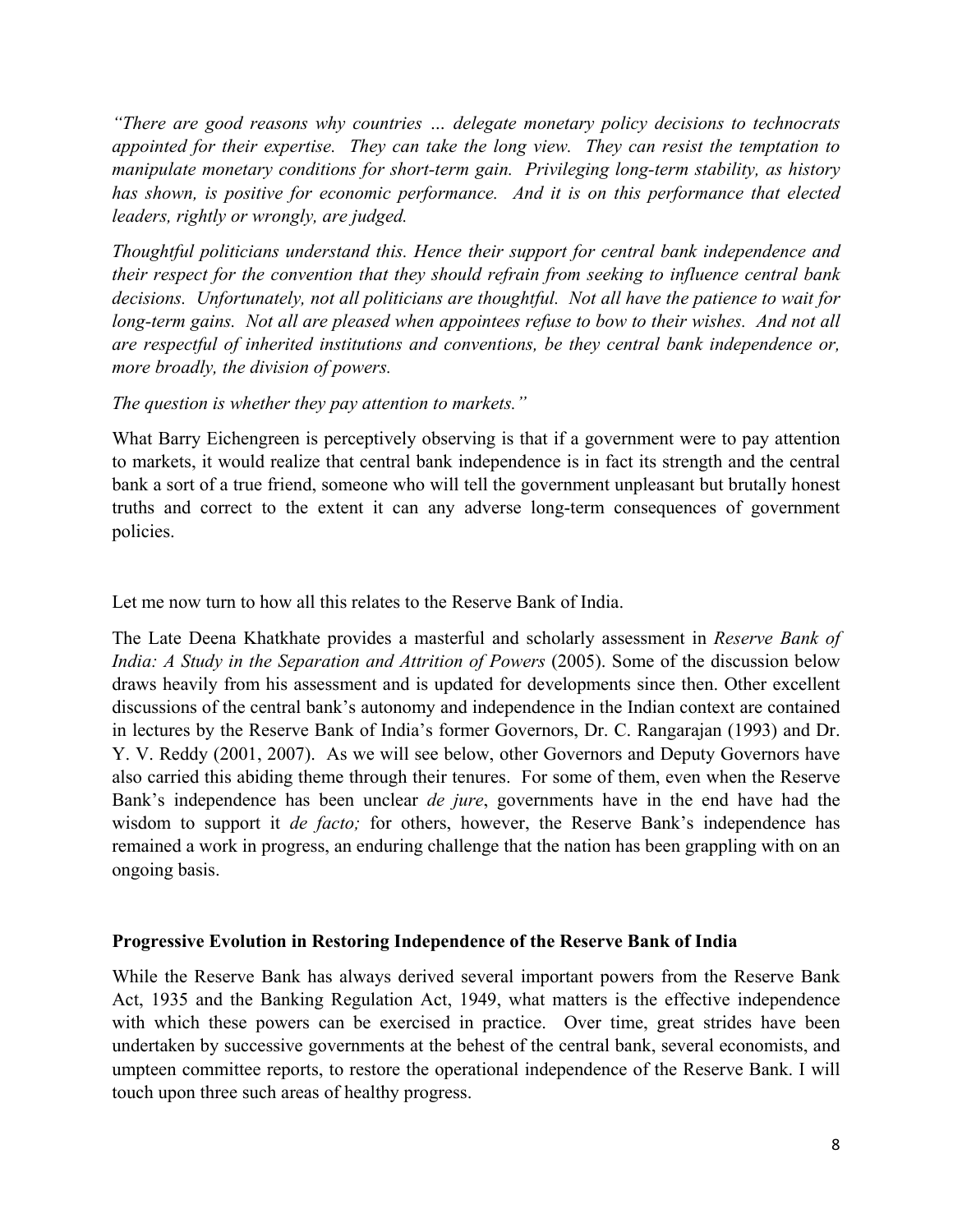*"There are good reasons why countries … delegate monetary policy decisions to technocrats appointed for their expertise. They can take the long view. They can resist the temptation to manipulate monetary conditions for short-term gain. Privileging long-term stability, as history has shown, is positive for economic performance. And it is on this performance that elected leaders, rightly or wrongly, are judged.*

*Thoughtful politicians understand this. Hence their support for central bank independence and their respect for the convention that they should refrain from seeking to influence central bank decisions. Unfortunately, not all politicians are thoughtful. Not all have the patience to wait for long-term gains. Not all are pleased when appointees refuse to bow to their wishes. And not all are respectful of inherited institutions and conventions, be they central bank independence or, more broadly, the division of powers.*

*The question is whether they pay attention to markets."*

What Barry Eichengreen is perceptively observing is that if a government were to pay attention to markets, it would realize that central bank independence is in fact its strength and the central bank a sort of a true friend, someone who will tell the government unpleasant but brutally honest truths and correct to the extent it can any adverse long-term consequences of government policies.

Let me now turn to how all this relates to the Reserve Bank of India.

The Late Deena Khatkhate provides a masterful and scholarly assessment in *Reserve Bank of India: A Study in the Separation and Attrition of Powers (2005). Some of the discussion below* draws heavily from his assessment and is updated for developments since then. Other excellent discussions of the central bank's autonomy and independence in the Indian context are contained in lectures by the Reserve Bank of India's former Governors, Dr. C. Rangarajan (1993) and Dr. Y. V. Reddy (2001, 2007). As we will see below, other Governors and Deputy Governors have also carried this abiding theme through their tenures. For some of them, even when the Reserve Bank's independence has been unclear *de jure*, governments have in the end have had the wisdom to support it *de facto;* for others, however, the Reserve Bank's independence has remained a work in progress, an enduring challenge that the nation has been grappling with on an ongoing basis.

## **Progressive Evolution in Restoring Independence of the Reserve Bank of India**

While the Reserve Bank has always derived several important powers from the Reserve Bank Act, 1935 and the Banking Regulation Act, 1949, what matters is the effective independence with which these powers can be exercised in practice. Over time, great strides have been undertaken by successive governments at the behest of the central bank, several economists, and umpteen committee reports, to restore the operational independence of the Reserve Bank. I will touch upon three such areas of healthy progress.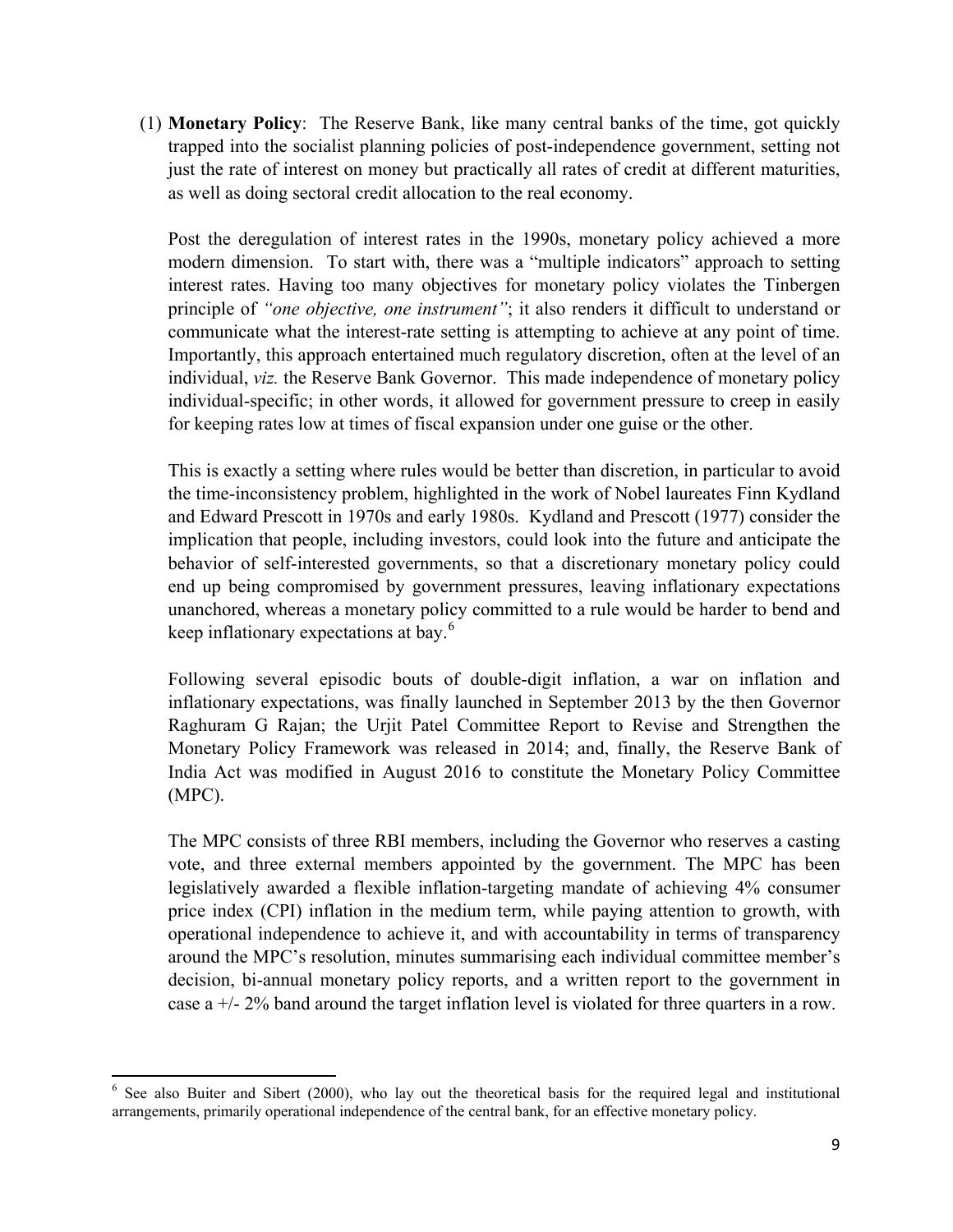(1) **Monetary Policy**: The Reserve Bank, like many central banks of the time, got quickly trapped into the socialist planning policies of post-independence government, setting not just the rate of interest on money but practically all rates of credit at different maturities, as well as doing sectoral credit allocation to the real economy.

Post the deregulation of interest rates in the 1990s, monetary policy achieved a more modern dimension. To start with, there was a "multiple indicators" approach to setting interest rates. Having too many objectives for monetary policy violates the Tinbergen principle of *"one objective, one instrument"*; it also renders it difficult to understand or communicate what the interest-rate setting is attempting to achieve at any point of time. Importantly, this approach entertained much regulatory discretion, often at the level of an individual, *viz.* the Reserve Bank Governor. This made independence of monetary policy individual-specific; in other words, it allowed for government pressure to creep in easily for keeping rates low at times of fiscal expansion under one guise or the other.

This is exactly a setting where rules would be better than discretion, in particular to avoid the time-inconsistency problem, highlighted in the work of Nobel laureates Finn Kydland and Edward Prescott in 1970s and early 1980s. Kydland and Prescott (1977) consider the implication that people, including investors, could look into the future and anticipate the behavior of self-interested governments, so that a discretionary monetary policy could end up being compromised by government pressures, leaving inflationary expectations unanchored, whereas a monetary policy committed to a rule would be harder to bend and keep inflationary expectations at bay. [6](#page-8-0)

Following several episodic bouts of double-digit inflation, a war on inflation and inflationary expectations, was finally launched in September 2013 by the then Governor Raghuram G Rajan; the Urjit Patel Committee Report to Revise and Strengthen the Monetary Policy Framework was released in 2014; and, finally, the Reserve Bank of India Act was modified in August 2016 to constitute the Monetary Policy Committee (MPC).

The MPC consists of three RBI members, including the Governor who reserves a casting vote, and three external members appointed by the government. The MPC has been legislatively awarded a flexible inflation-targeting mandate of achieving 4% consumer price index (CPI) inflation in the medium term, while paying attention to growth, with operational independence to achieve it, and with accountability in terms of transparency around the MPC's resolution, minutes summarising each individual committee member's decision, bi-annual monetary policy reports, and a written report to the government in case a +/- 2% band around the target inflation level is violated for three quarters in a row.

 $\overline{\phantom{a}}$ 

<span id="page-8-0"></span><sup>&</sup>lt;sup>6</sup> See also Buiter and Sibert (2000), who lay out the theoretical basis for the required legal and institutional arrangements, primarily operational independence of the central bank, for an effective monetary policy.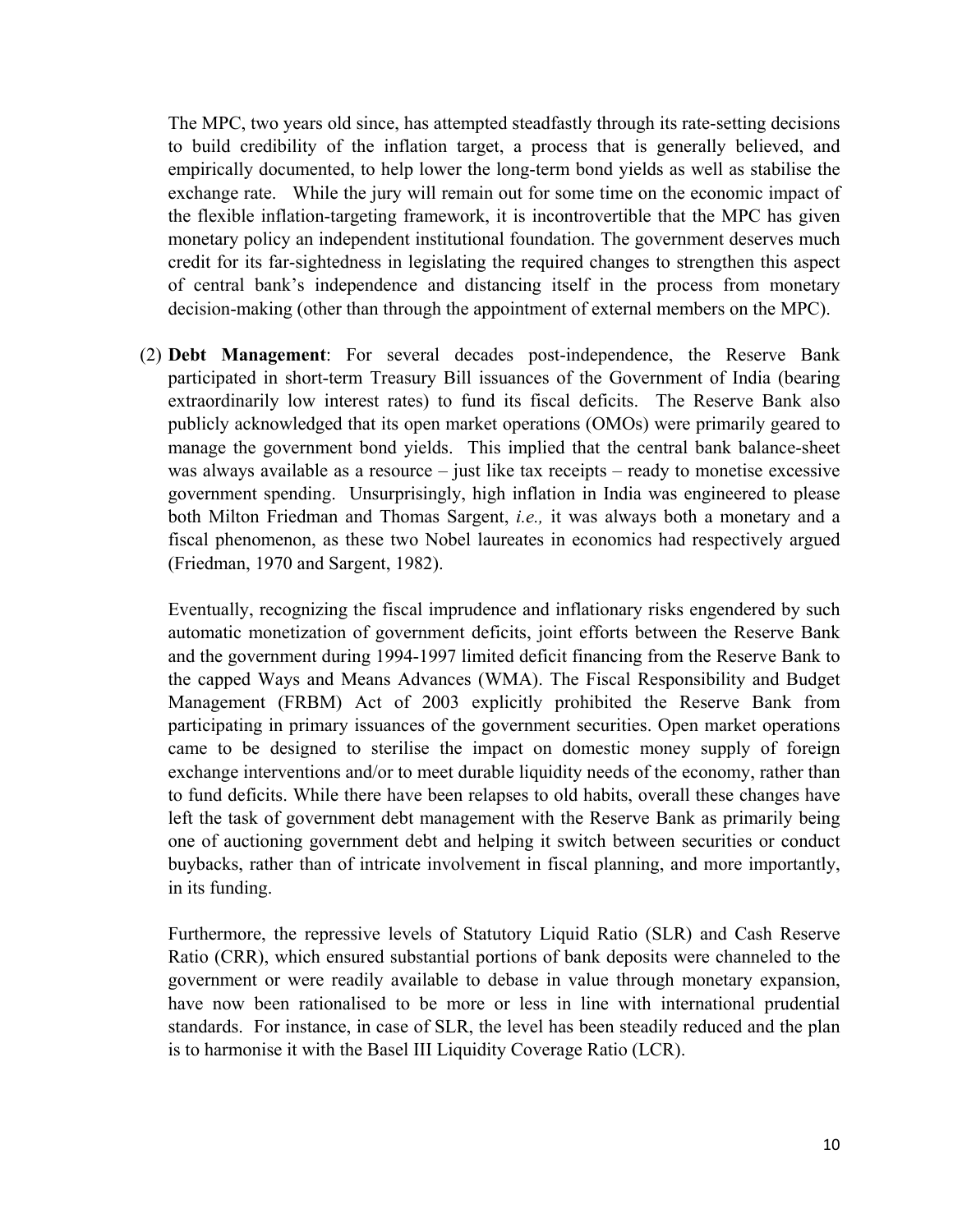The MPC, two years old since, has attempted steadfastly through its rate-setting decisions to build credibility of the inflation target, a process that is generally believed, and empirically documented, to help lower the long-term bond yields as well as stabilise the exchange rate. While the jury will remain out for some time on the economic impact of the flexible inflation-targeting framework, it is incontrovertible that the MPC has given monetary policy an independent institutional foundation. The government deserves much credit for its far-sightedness in legislating the required changes to strengthen this aspect of central bank's independence and distancing itself in the process from monetary decision-making (other than through the appointment of external members on the MPC).

(2) **Debt Management**: For several decades post-independence, the Reserve Bank participated in short-term Treasury Bill issuances of the Government of India (bearing extraordinarily low interest rates) to fund its fiscal deficits. The Reserve Bank also publicly acknowledged that its open market operations (OMOs) were primarily geared to manage the government bond yields. This implied that the central bank balance-sheet was always available as a resource – just like tax receipts – ready to monetise excessive government spending. Unsurprisingly, high inflation in India was engineered to please both Milton Friedman and Thomas Sargent, *i.e.,* it was always both a monetary and a fiscal phenomenon, as these two Nobel laureates in economics had respectively argued (Friedman, 1970 and Sargent, 1982).

Eventually, recognizing the fiscal imprudence and inflationary risks engendered by such automatic monetization of government deficits, joint efforts between the Reserve Bank and the government during 1994-1997 limited deficit financing from the Reserve Bank to the capped Ways and Means Advances (WMA). The Fiscal Responsibility and Budget Management (FRBM) Act of 2003 explicitly prohibited the Reserve Bank from participating in primary issuances of the government securities. Open market operations came to be designed to sterilise the impact on domestic money supply of foreign exchange interventions and/or to meet durable liquidity needs of the economy, rather than to fund deficits. While there have been relapses to old habits, overall these changes have left the task of government debt management with the Reserve Bank as primarily being one of auctioning government debt and helping it switch between securities or conduct buybacks, rather than of intricate involvement in fiscal planning, and more importantly, in its funding.

Furthermore, the repressive levels of Statutory Liquid Ratio (SLR) and Cash Reserve Ratio (CRR), which ensured substantial portions of bank deposits were channeled to the government or were readily available to debase in value through monetary expansion, have now been rationalised to be more or less in line with international prudential standards. For instance, in case of SLR, the level has been steadily reduced and the plan is to harmonise it with the Basel III Liquidity Coverage Ratio (LCR).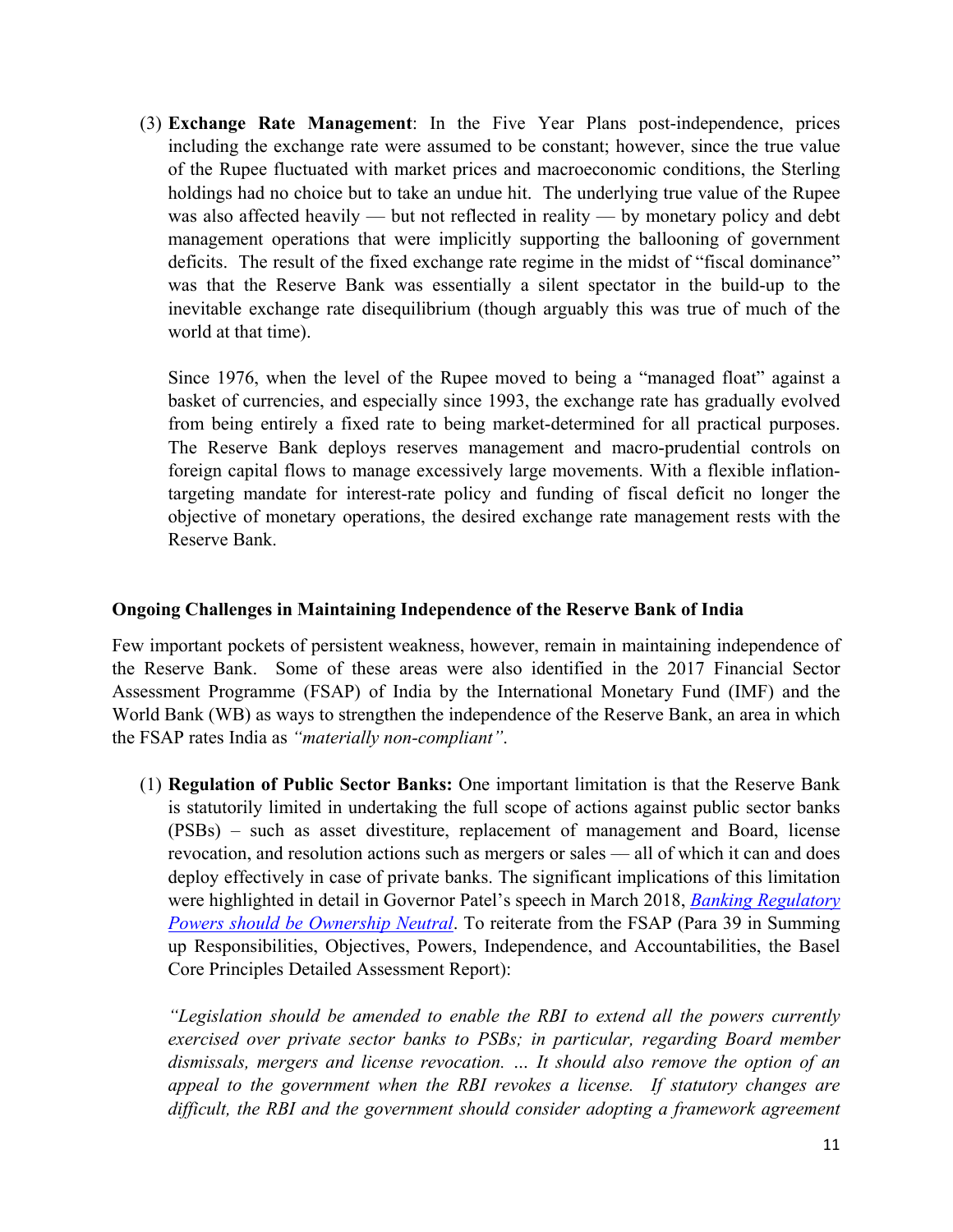(3) **Exchange Rate Management**: In the Five Year Plans post-independence, prices including the exchange rate were assumed to be constant; however, since the true value of the Rupee fluctuated with market prices and macroeconomic conditions, the Sterling holdings had no choice but to take an undue hit. The underlying true value of the Rupee was also affected heavily — but not reflected in reality — by monetary policy and debt management operations that were implicitly supporting the ballooning of government deficits. The result of the fixed exchange rate regime in the midst of "fiscal dominance" was that the Reserve Bank was essentially a silent spectator in the build-up to the inevitable exchange rate disequilibrium (though arguably this was true of much of the world at that time).

Since 1976, when the level of the Rupee moved to being a "managed float" against a basket of currencies, and especially since 1993, the exchange rate has gradually evolved from being entirely a fixed rate to being market-determined for all practical purposes. The Reserve Bank deploys reserves management and macro-prudential controls on foreign capital flows to manage excessively large movements. With a flexible inflationtargeting mandate for interest-rate policy and funding of fiscal deficit no longer the objective of monetary operations, the desired exchange rate management rests with the Reserve Bank.

## **Ongoing Challenges in Maintaining Independence of the Reserve Bank of India**

Few important pockets of persistent weakness, however, remain in maintaining independence of the Reserve Bank. Some of these areas were also identified in the 2017 Financial Sector Assessment Programme (FSAP) of India by the International Monetary Fund (IMF) and the World Bank (WB) as ways to strengthen the independence of the Reserve Bank, an area in which the FSAP rates India as *"materially non-compliant"*.

(1) **Regulation of Public Sector Banks:** One important limitation is that the Reserve Bank is statutorily limited in undertaking the full scope of actions against public sector banks (PSBs) – such as asset divestiture, replacement of management and Board, license revocation, and resolution actions such as mergers or sales — all of which it can and does deploy effectively in case of private banks. The significant implications of this limitation were highlighted in detail in Governor Patel's speech in March 2018, *[Banking Regulatory](https://rbi.org.in/Scripts/BS_SpeechesView.aspx?Id=1054)  [Powers should be Ownership Neutral](https://rbi.org.in/Scripts/BS_SpeechesView.aspx?Id=1054)*. To reiterate from the FSAP (Para 39 in Summing up Responsibilities, Objectives, Powers, Independence, and Accountabilities, the Basel Core Principles Detailed Assessment Report):

*"Legislation should be amended to enable the RBI to extend all the powers currently exercised over private sector banks to PSBs; in particular, regarding Board member dismissals, mergers and license revocation. … It should also remove the option of an appeal to the government when the RBI revokes a license. If statutory changes are difficult, the RBI and the government should consider adopting a framework agreement*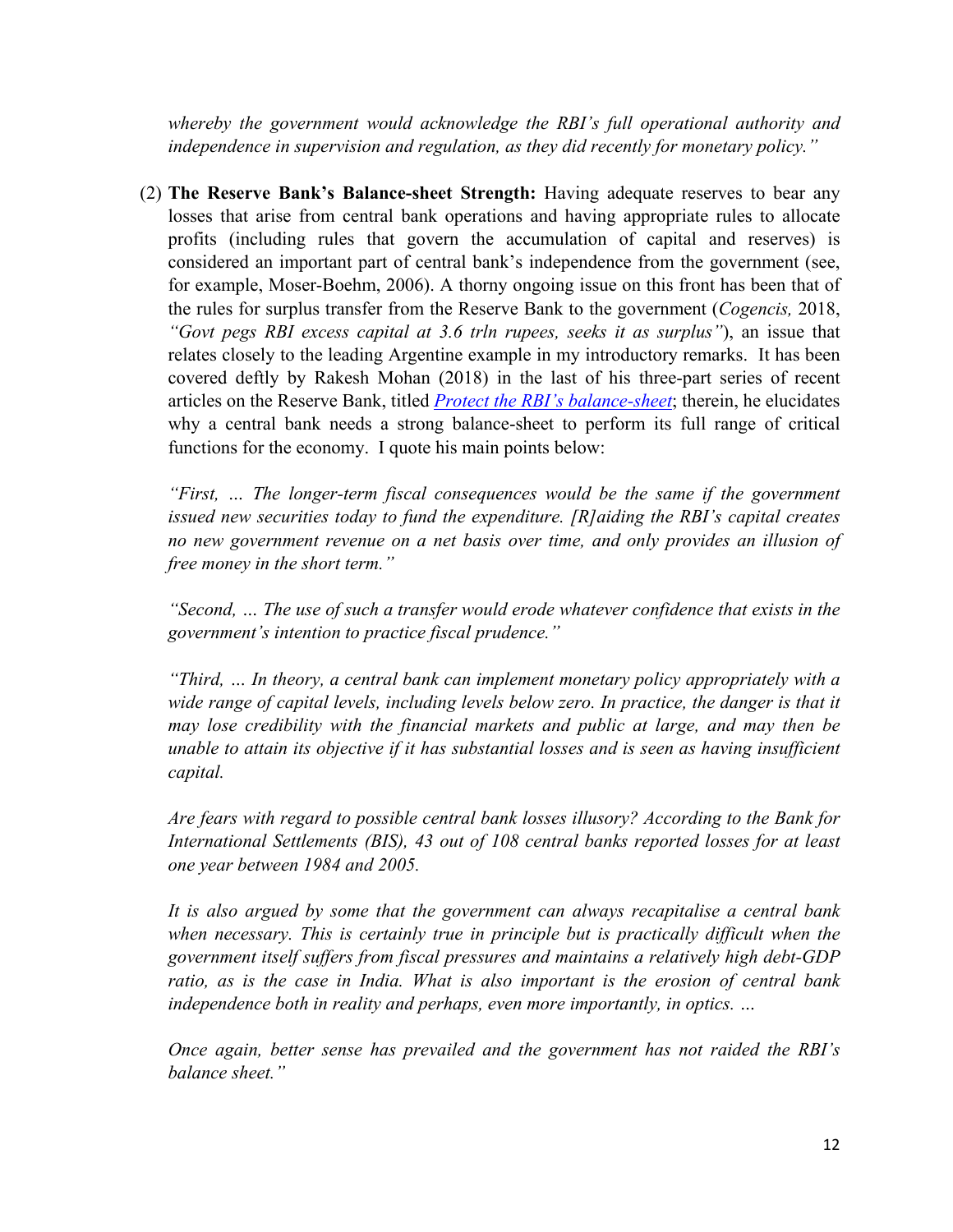*whereby the government would acknowledge the RBI's full operational authority and independence in supervision and regulation, as they did recently for monetary policy."*

(2) **The Reserve Bank's Balance-sheet Strength:** Having adequate reserves to bear any losses that arise from central bank operations and having appropriate rules to allocate profits (including rules that govern the accumulation of capital and reserves) is considered an important part of central bank's independence from the government (see, for example, Moser-Boehm, 2006). A thorny ongoing issue on this front has been that of the rules for surplus transfer from the Reserve Bank to the government (*Cogencis,* 2018, *"Govt pegs RBI excess capital at 3.6 trln rupees, seeks it as surplus"*), an issue that relates closely to the leading Argentine example in my introductory remarks. It has been covered deftly by Rakesh Mohan (2018) in the last of his three-part series of recent articles on the Reserve Bank, titled *[Protect the RBI's balance-sheet](https://www.business-standard.com/article/opinion/protect-the-rbi-s-balance-sheet-118100401270_1.html)*; therein, he elucidates why a central bank needs a strong balance-sheet to perform its full range of critical functions for the economy. I quote his main points below:

*"First, … The longer-term fiscal consequences would be the same if the government issued new securities today to fund the expenditure. [R]aiding the RBI's capital creates no new government revenue on a net basis over time, and only provides an illusion of free money in the short term."*

*"Second, … The use of such a transfer would erode whatever confidence that exists in the government's intention to practice fiscal prudence."*

*"Third, … In theory, a central bank can implement monetary policy appropriately with a wide range of capital levels, including levels below zero. In practice, the danger is that it may lose credibility with the financial markets and public at large, and may then be unable to attain its objective if it has substantial losses and is seen as having insufficient capital.* 

*Are fears with regard to possible central bank losses illusory? According to the Bank for International Settlements (BIS), 43 out of 108 central banks reported losses for at least one year between 1984 and 2005.*

*It is also argued by some that the government can always recapitalise a central bank when necessary. This is certainly true in principle but is practically difficult when the government itself suffers from fiscal pressures and maintains a relatively high debt-GDP ratio, as is the case in India. What is also important is the erosion of central bank independence both in reality and perhaps, even more importantly, in optics. …* 

*Once again, better sense has prevailed and the government has not raided the RBI's balance sheet."*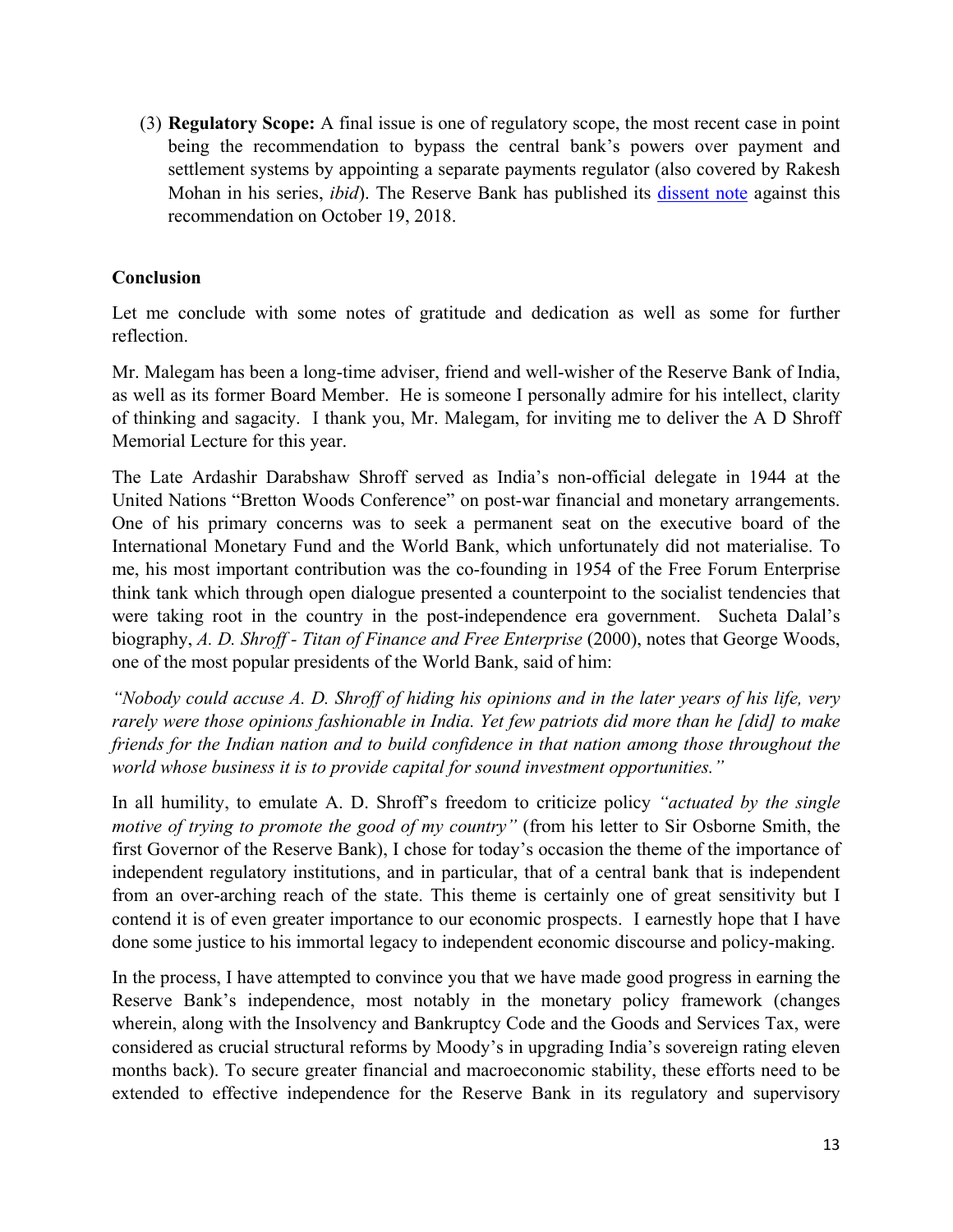(3) **Regulatory Scope:** A final issue is one of regulatory scope, the most recent case in point being the recommendation to bypass the central bank's powers over payment and settlement systems by appointing a separate payments regulator (also covered by Rakesh Mohan in his series, *ibid*). The Reserve Bank has published its [dissent note](https://rbi.org.in/Scripts/BS_PressReleaseDisplay.aspx?prid=45287) against this recommendation on October 19, 2018.

## **Conclusion**

Let me conclude with some notes of gratitude and dedication as well as some for further reflection.

Mr. Malegam has been a long-time adviser, friend and well-wisher of the Reserve Bank of India, as well as its former Board Member. He is someone I personally admire for his intellect, clarity of thinking and sagacity. I thank you, Mr. Malegam, for inviting me to deliver the A D Shroff Memorial Lecture for this year.

The Late Ardashir Darabshaw Shroff served as India's non-official delegate in 1944 at the United Nations "Bretton Woods Conference" on post-war financial and monetary arrangements. One of his primary concerns was to seek a permanent seat on the executive board of the International Monetary Fund and the World Bank, which unfortunately did not materialise. To me, his most important contribution was the co-founding in 1954 of the Free Forum Enterprise think tank which through open dialogue presented a counterpoint to the socialist tendencies that were taking root in the country in the post-independence era government. Sucheta Dalal's biography, *A. D. Shroff - Titan of Finance and Free Enterprise* (2000), notes that George Woods, one of the most popular presidents of the World Bank, said of him:

*"Nobody could accuse A. D. Shroff of hiding his opinions and in the later years of his life, very rarely were those opinions fashionable in India. Yet few patriots did more than he [did] to make friends for the Indian nation and to build confidence in that nation among those throughout the world whose business it is to provide capital for sound investment opportunities."*

In all humility, to emulate A. D. Shroff's freedom to criticize policy *"actuated by the single motive of trying to promote the good of my country"* (from his letter to Sir Osborne Smith, the first Governor of the Reserve Bank), I chose for today's occasion the theme of the importance of independent regulatory institutions, and in particular, that of a central bank that is independent from an over-arching reach of the state. This theme is certainly one of great sensitivity but I contend it is of even greater importance to our economic prospects. I earnestly hope that I have done some justice to his immortal legacy to independent economic discourse and policy-making.

In the process, I have attempted to convince you that we have made good progress in earning the Reserve Bank's independence, most notably in the monetary policy framework (changes wherein, along with the Insolvency and Bankruptcy Code and the Goods and Services Tax, were considered as crucial structural reforms by Moody's in upgrading India's sovereign rating eleven months back). To secure greater financial and macroeconomic stability, these efforts need to be extended to effective independence for the Reserve Bank in its regulatory and supervisory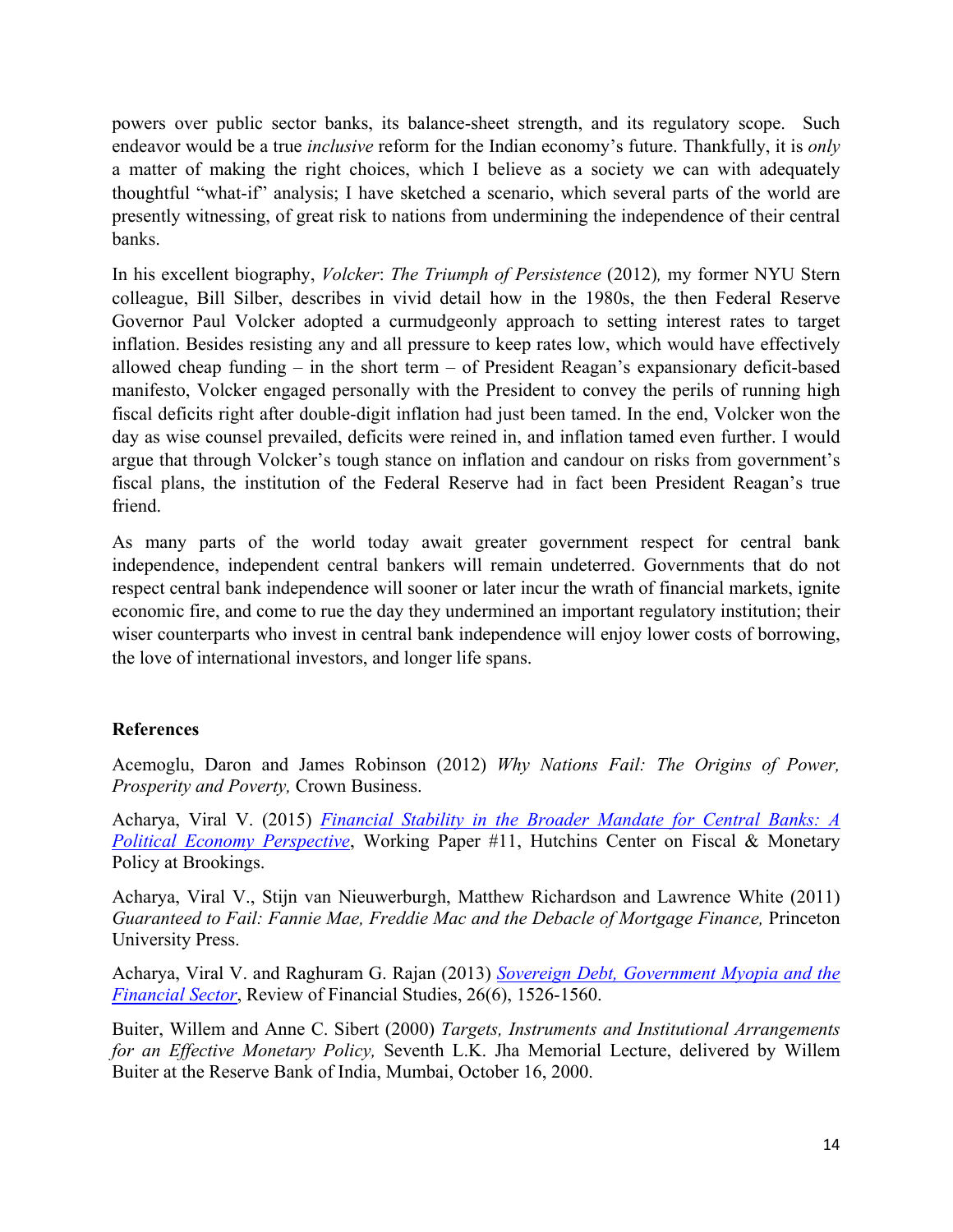powers over public sector banks, its balance-sheet strength, and its regulatory scope. Such endeavor would be a true *inclusive* reform for the Indian economy's future. Thankfully, it is *only* a matter of making the right choices, which I believe as a society we can with adequately thoughtful "what-if" analysis; I have sketched a scenario, which several parts of the world are presently witnessing, of great risk to nations from undermining the independence of their central banks.

In his excellent biography, *Volcker*: *The Triumph of Persistence* (2012)*,* my former NYU Stern colleague, Bill Silber, describes in vivid detail how in the 1980s, the then Federal Reserve Governor Paul Volcker adopted a curmudgeonly approach to setting interest rates to target inflation. Besides resisting any and all pressure to keep rates low, which would have effectively allowed cheap funding – in the short term – of President Reagan's expansionary deficit-based manifesto, Volcker engaged personally with the President to convey the perils of running high fiscal deficits right after double-digit inflation had just been tamed. In the end, Volcker won the day as wise counsel prevailed, deficits were reined in, and inflation tamed even further. I would argue that through Volcker's tough stance on inflation and candour on risks from government's fiscal plans, the institution of the Federal Reserve had in fact been President Reagan's true friend.

As many parts of the world today await greater government respect for central bank independence, independent central bankers will remain undeterred. Governments that do not respect central bank independence will sooner or later incur the wrath of financial markets, ignite economic fire, and come to rue the day they undermined an important regulatory institution; their wiser counterparts who invest in central bank independence will enjoy lower costs of borrowing, the love of international investors, and longer life spans.

# **References**

Acemoglu, Daron and James Robinson (2012) *Why Nations Fail: The Origins of Power, Prosperity and Poverty,* Crown Business.

Acharya, Viral V. (2015) *[Financial Stability in the Broader Mandate for Central Banks: A](http://www.brookings.edu/research/papers/2015/04/14-financial-stability-mandate-central-banks)  [Political Economy Perspective](http://www.brookings.edu/research/papers/2015/04/14-financial-stability-mandate-central-banks)*, Working Paper #11, Hutchins Center on Fiscal & Monetary Policy at Brookings.

Acharya, Viral V., Stijn van Nieuwerburgh, Matthew Richardson and Lawrence White (2011) *Guaranteed to Fail: Fannie Mae, Freddie Mac and the Debacle of Mortgage Finance,* Princeton University Press.

Acharya, Viral V. and Raghuram G. Rajan (2013) *[Sovereign Debt, Government Myopia and the](http://pages.stern.nyu.edu/%7Esternfin/vacharya/public_html/Sov_debt_Jan_11_2013_RFS_standard.pdf)  [Financial Sector](http://pages.stern.nyu.edu/%7Esternfin/vacharya/public_html/Sov_debt_Jan_11_2013_RFS_standard.pdf)*, Review of Financial Studies, 26(6), 1526-1560.

Buiter, Willem and Anne C. Sibert (2000) *Targets, Instruments and Institutional Arrangements for an Effective Monetary Policy,* Seventh L.K. Jha Memorial Lecture, delivered by Willem Buiter at the Reserve Bank of India, Mumbai, October 16, 2000.